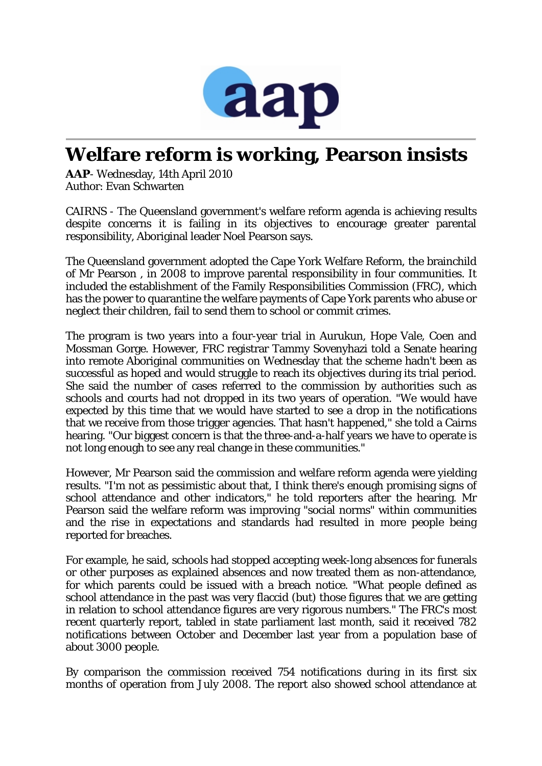

## **Welfare reform is working, Pearson insists**

*AAP*- Wednesday, 14th April 2010 Author: Evan Schwarten

CAIRNS - The Queensland government's welfare reform agenda is achieving results despite concerns it is failing in its objectives to encourage greater parental responsibility, Aboriginal leader Noel Pearson says.

The Queensland government adopted the Cape York Welfare Reform, the brainchild of Mr Pearson , in 2008 to improve parental responsibility in four communities. It included the establishment of the Family Responsibilities Commission (FRC), which has the power to quarantine the welfare payments of Cape York parents who abuse or neglect their children, fail to send them to school or commit crimes.

The program is two years into a four-year trial in Aurukun, Hope Vale, Coen and Mossman Gorge. However, FRC registrar Tammy Sovenyhazi told a Senate hearing into remote Aboriginal communities on Wednesday that the scheme hadn't been as successful as hoped and would struggle to reach its objectives during its trial period. She said the number of cases referred to the commission by authorities such as schools and courts had not dropped in its two years of operation. "We would have expected by this time that we would have started to see a drop in the notifications that we receive from those trigger agencies. That hasn't happened," she told a Cairns hearing. "Our biggest concern is that the three-and-a-half years we have to operate is not long enough to see any real change in these communities."

However, Mr Pearson said the commission and welfare reform agenda were yielding results. "I'm not as pessimistic about that, I think there's enough promising signs of school attendance and other indicators," he told reporters after the hearing. Mr Pearson said the welfare reform was improving "social norms" within communities and the rise in expectations and standards had resulted in more people being reported for breaches.

For example, he said, schools had stopped accepting week-long absences for funerals or other purposes as explained absences and now treated them as non-attendance, for which parents could be issued with a breach notice. "What people defined as school attendance in the past was very flaccid (but) those figures that we are getting in relation to school attendance figures are very rigorous numbers." The FRC's most recent quarterly report, tabled in state parliament last month, said it received 782 notifications between October and December last year from a population base of about 3000 people.

By comparison the commission received 754 notifications during in its first six months of operation from July 2008. The report also showed school attendance at